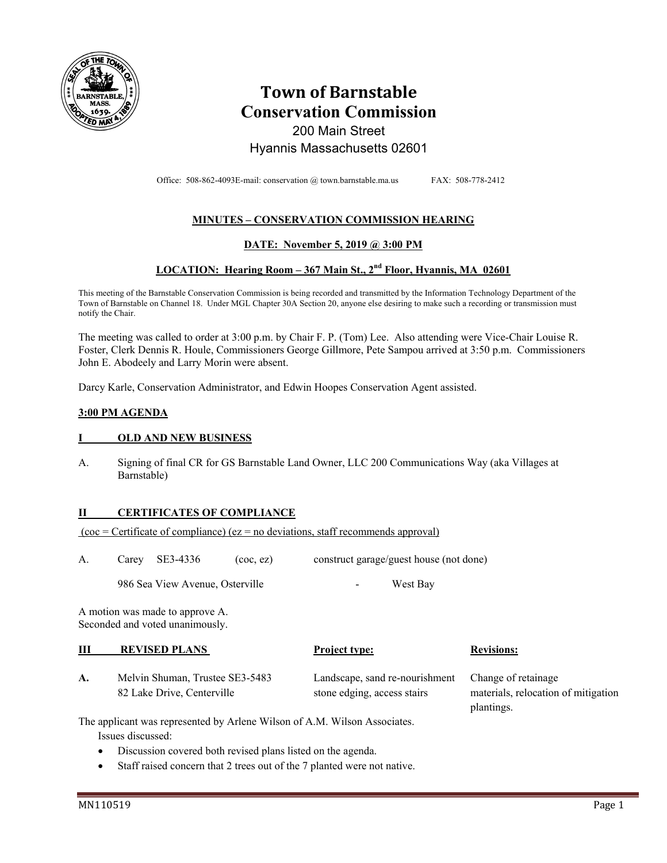

# **Town of Barnstable Conservation Commission**  200 Main Street

## Hyannis Massachusetts 02601

Office: 508-862-4093E-mail: conservation @ town.barnstable.ma.us FAX: 508-778-2412

## **MINUTES – CONSERVATION COMMISSION HEARING**

### **DATE: November 5, 2019 @ 3:00 PM**

## **LOCATION: Hearing Room – 367 Main St., 2nd Floor, Hyannis, MA 02601**

This meeting of the Barnstable Conservation Commission is being recorded and transmitted by the Information Technology Department of the Town of Barnstable on Channel 18. Under MGL Chapter 30A Section 20, anyone else desiring to make such a recording or transmission must notify the Chair.

The meeting was called to order at 3:00 p.m. by Chair F. P. (Tom) Lee. Also attending were Vice-Chair Louise R. Foster, Clerk Dennis R. Houle, Commissioners George Gillmore, Pete Sampou arrived at 3:50 p.m. Commissioners John E. Abodeely and Larry Morin were absent.

Darcy Karle, Conservation Administrator, and Edwin Hoopes Conservation Agent assisted.

#### **3:00 PM AGENDA**

#### **OLD AND NEW BUSINESS**

A. Signing of final CR for GS Barnstable Land Owner, LLC 200 Communications Way (aka Villages at Barnstable)

#### **II CERTIFICATES OF COMPLIANCE**

 $(coc = \text{Certificance})$  (ez = no deviations, staff recommends approval)

| Carey $SE3-4336$                | $($ coc $,$ ez $)$ | construct garage/guest house (not done) |
|---------------------------------|--------------------|-----------------------------------------|
| 986 Sea View Avenue, Osterville |                    | West Bay<br>$\overline{\phantom{0}}$    |

plantings.

A motion was made to approve A. Seconded and voted unanimously.

| Ш | <b>REVISED PLANS</b>            | <b>Project type:</b>           | <b>Revisions:</b>                   |
|---|---------------------------------|--------------------------------|-------------------------------------|
|   | Melvin Shuman, Trustee SE3-5483 | Landscape, sand re-nourishment | Change of retainage                 |
|   | 82 Lake Drive, Centerville      | stone edging, access stairs    | materials, relocation of mitigation |

The applicant was represented by Arlene Wilson of A.M. Wilson Associates. Issues discussed:

- Discussion covered both revised plans listed on the agenda.
- Staff raised concern that 2 trees out of the 7 planted were not native.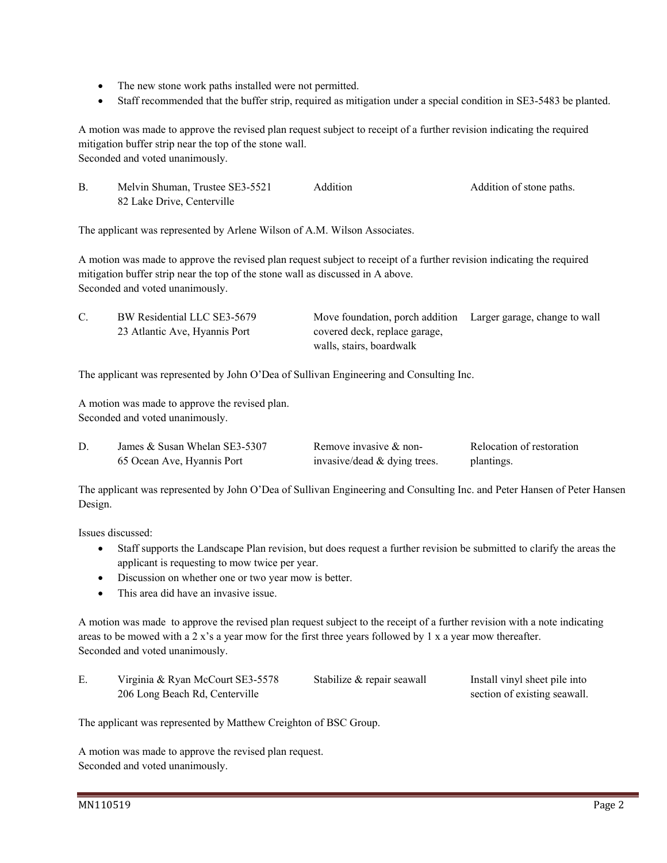- The new stone work paths installed were not permitted.
- Staff recommended that the buffer strip, required as mitigation under a special condition in SE3-5483 be planted.

A motion was made to approve the revised plan request subject to receipt of a further revision indicating the required mitigation buffer strip near the top of the stone wall. Seconded and voted unanimously.

| Melvin Shuman, Trustee SE3-5521 | Addition | Addition of stone paths. |
|---------------------------------|----------|--------------------------|
| 82 Lake Drive, Centerville      |          |                          |

The applicant was represented by Arlene Wilson of A.M. Wilson Associates.

A motion was made to approve the revised plan request subject to receipt of a further revision indicating the required mitigation buffer strip near the top of the stone wall as discussed in A above. Seconded and voted unanimously.

| BW Residential LLC SE3-5679   | Move foundation, porch addition Larger garage, change to wall |  |
|-------------------------------|---------------------------------------------------------------|--|
| 23 Atlantic Ave, Hyannis Port | covered deck, replace garage,                                 |  |
|                               | walls, stairs, boardwalk                                      |  |

The applicant was represented by John O'Dea of Sullivan Engineering and Consulting Inc.

A motion was made to approve the revised plan. Seconded and voted unanimously.

| James & Susan Whelan SE3-5307 | Remove invasive & non-       | Relocation of restoration |
|-------------------------------|------------------------------|---------------------------|
| 65 Ocean Ave, Hyannis Port    | invasive/dead & dying trees. | plantings.                |

The applicant was represented by John O'Dea of Sullivan Engineering and Consulting Inc. and Peter Hansen of Peter Hansen Design.

Issues discussed:

- Staff supports the Landscape Plan revision, but does request a further revision be submitted to clarify the areas the applicant is requesting to mow twice per year.
- Discussion on whether one or two year mow is better.
- This area did have an invasive issue.

A motion was made to approve the revised plan request subject to the receipt of a further revision with a note indicating areas to be mowed with a 2 x's a year mow for the first three years followed by 1 x a year mow thereafter. Seconded and voted unanimously.

E. Virginia & Ryan McCourt SE3-5578 Stabilize & repair seawall Install vinyl sheet pile into 206 Long Beach Rd, Centerville section of existing seawall.

The applicant was represented by Matthew Creighton of BSC Group.

A motion was made to approve the revised plan request. Seconded and voted unanimously.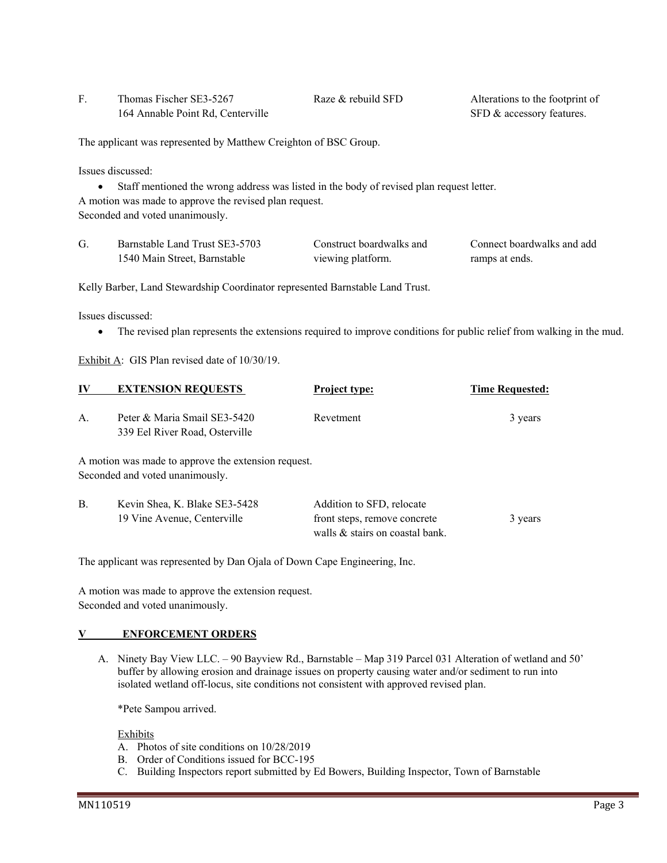| Thomas Fischer SE3-5267           | Raze & rebuild SFD | Alterations to the footprint of |
|-----------------------------------|--------------------|---------------------------------|
| 164 Annable Point Rd. Centerville |                    | SFD & accessory features.       |

The applicant was represented by Matthew Creighton of BSC Group.

Issues discussed:

 Staff mentioned the wrong address was listed in the body of revised plan request letter. A motion was made to approve the revised plan request. Seconded and voted unanimously.

| Barnstable Land Trust SE3-5703 | Construct boardwalks and | Connect boardwalks and add |
|--------------------------------|--------------------------|----------------------------|
| 1540 Main Street, Barnstable   | viewing platform.        | ramps at ends.             |

Kelly Barber, Land Stewardship Coordinator represented Barnstable Land Trust.

Issues discussed:

The revised plan represents the extensions required to improve conditions for public relief from walking in the mud.

Exhibit A: GIS Plan revised date of  $10/30/19$ .

| IV | <b>EXTENSION REQUESTS</b>                                      | <b>Project type:</b> | <b>Time Requested:</b> |
|----|----------------------------------------------------------------|----------------------|------------------------|
| A. | Peter & Maria Smail SE3-5420<br>339 Eel River Road, Osterville | Revetment            | 3 years                |
|    | A motion was made to approve the extension request.            |                      |                        |
|    | Seconded and voted unanimously.                                |                      |                        |

| Kevin Shea, K. Blake SE3-5428 | Addition to SFD, relocate       |         |
|-------------------------------|---------------------------------|---------|
| 19 Vine Avenue, Centerville   | front steps, remove concrete    | 3 years |
|                               | walls & stairs on coastal bank. |         |

The applicant was represented by Dan Ojala of Down Cape Engineering, Inc.

A motion was made to approve the extension request. Seconded and voted unanimously.

#### **V ENFORCEMENT ORDERS**

A. Ninety Bay View LLC. – 90 Bayview Rd., Barnstable – Map 319 Parcel 031 Alteration of wetland and 50' buffer by allowing erosion and drainage issues on property causing water and/or sediment to run into isolated wetland off-locus, site conditions not consistent with approved revised plan.

\*Pete Sampou arrived.

Exhibits

- A. Photos of site conditions on 10/28/2019
- B. Order of Conditions issued for BCC-195
- C. Building Inspectors report submitted by Ed Bowers, Building Inspector, Town of Barnstable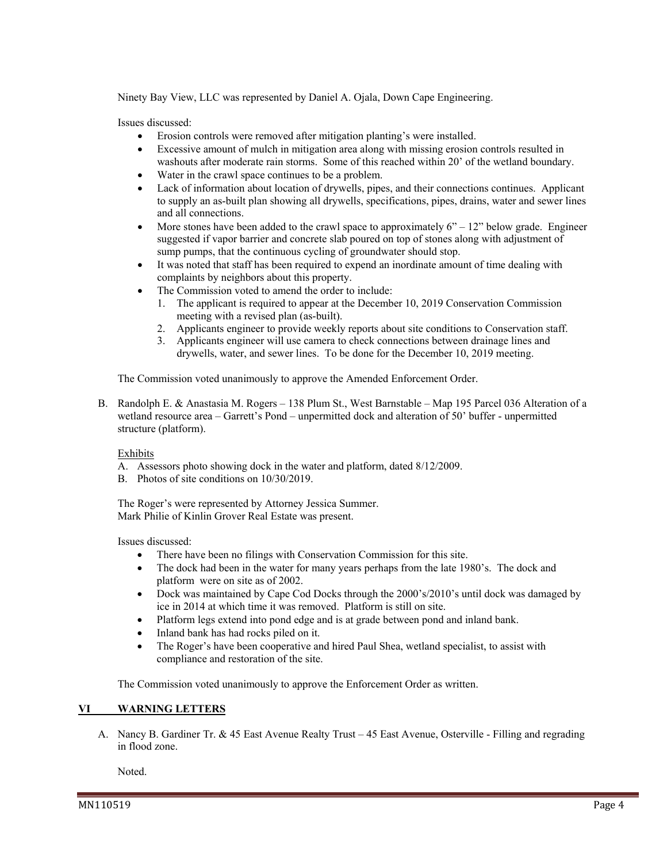Ninety Bay View, LLC was represented by Daniel A. Ojala, Down Cape Engineering.

Issues discussed:

- Erosion controls were removed after mitigation planting's were installed.
- Excessive amount of mulch in mitigation area along with missing erosion controls resulted in washouts after moderate rain storms. Some of this reached within 20' of the wetland boundary.
- Water in the crawl space continues to be a problem.
- Lack of information about location of drywells, pipes, and their connections continues. Applicant to supply an as-built plan showing all drywells, specifications, pipes, drains, water and sewer lines and all connections.
- More stones have been added to the crawl space to approximately  $6" 12"$  below grade. Engineer suggested if vapor barrier and concrete slab poured on top of stones along with adjustment of sump pumps, that the continuous cycling of groundwater should stop.
- It was noted that staff has been required to expend an inordinate amount of time dealing with complaints by neighbors about this property.
- The Commission voted to amend the order to include:
	- 1. The applicant is required to appear at the December 10, 2019 Conservation Commission meeting with a revised plan (as-built).
	- 2. Applicants engineer to provide weekly reports about site conditions to Conservation staff.
	- 3. Applicants engineer will use camera to check connections between drainage lines and drywells, water, and sewer lines. To be done for the December 10, 2019 meeting.

The Commission voted unanimously to approve the Amended Enforcement Order.

B. Randolph E. & Anastasia M. Rogers – 138 Plum St., West Barnstable – Map 195 Parcel 036 Alteration of a wetland resource area – Garrett's Pond – unpermitted dock and alteration of 50' buffer - unpermitted structure (platform).

#### Exhibits

- A. Assessors photo showing dock in the water and platform, dated 8/12/2009.
- B. Photos of site conditions on 10/30/2019.

The Roger's were represented by Attorney Jessica Summer. Mark Philie of Kinlin Grover Real Estate was present.

Issues discussed:

- There have been no filings with Conservation Commission for this site.
- The dock had been in the water for many years perhaps from the late 1980's. The dock and platform were on site as of 2002.
- Dock was maintained by Cape Cod Docks through the 2000's/2010's until dock was damaged by ice in 2014 at which time it was removed. Platform is still on site.
- Platform legs extend into pond edge and is at grade between pond and inland bank.
- Inland bank has had rocks piled on it.
- The Roger's have been cooperative and hired Paul Shea, wetland specialist, to assist with compliance and restoration of the site.

The Commission voted unanimously to approve the Enforcement Order as written.

## **VI WARNING LETTERS**

A. Nancy B. Gardiner Tr. & 45 East Avenue Realty Trust – 45 East Avenue, Osterville - Filling and regrading in flood zone.

Noted.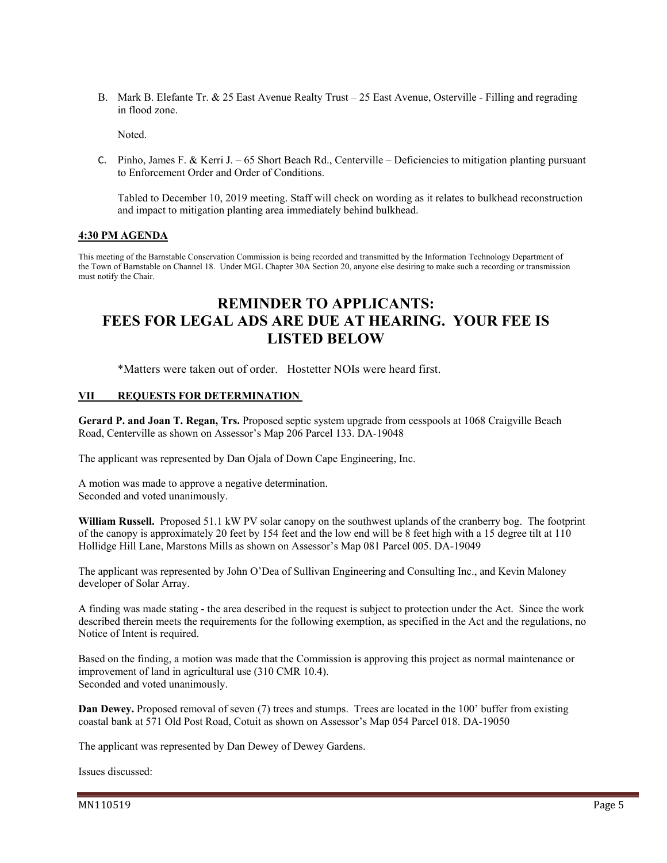B. Mark B. Elefante Tr. & 25 East Avenue Realty Trust – 25 East Avenue, Osterville - Filling and regrading in flood zone.

Noted.

C. Pinho, James F. & Kerri J. – 65 Short Beach Rd., Centerville – Deficiencies to mitigation planting pursuant to Enforcement Order and Order of Conditions.

Tabled to December 10, 2019 meeting. Staff will check on wording as it relates to bulkhead reconstruction and impact to mitigation planting area immediately behind bulkhead.

#### **4:30 PM AGENDA**

This meeting of the Barnstable Conservation Commission is being recorded and transmitted by the Information Technology Department of the Town of Barnstable on Channel 18. Under MGL Chapter 30A Section 20, anyone else desiring to make such a recording or transmission must notify the Chair.

## **REMINDER TO APPLICANTS: FEES FOR LEGAL ADS ARE DUE AT HEARING. YOUR FEE IS LISTED BELOW**

\*Matters were taken out of order. Hostetter NOIs were heard first.

#### **VII REQUESTS FOR DETERMINATION**

**Gerard P. and Joan T. Regan, Trs.** Proposed septic system upgrade from cesspools at 1068 Craigville Beach Road, Centerville as shown on Assessor's Map 206 Parcel 133. DA-19048

The applicant was represented by Dan Ojala of Down Cape Engineering, Inc.

A motion was made to approve a negative determination. Seconded and voted unanimously.

**William Russell.** Proposed 51.1 kW PV solar canopy on the southwest uplands of the cranberry bog. The footprint of the canopy is approximately 20 feet by 154 feet and the low end will be 8 feet high with a 15 degree tilt at 110 Hollidge Hill Lane, Marstons Mills as shown on Assessor's Map 081 Parcel 005. DA-19049

The applicant was represented by John O'Dea of Sullivan Engineering and Consulting Inc., and Kevin Maloney developer of Solar Array.

A finding was made stating - the area described in the request is subject to protection under the Act. Since the work described therein meets the requirements for the following exemption, as specified in the Act and the regulations, no Notice of Intent is required.

Based on the finding, a motion was made that the Commission is approving this project as normal maintenance or improvement of land in agricultural use (310 CMR 10.4). Seconded and voted unanimously.

**Dan Dewey.** Proposed removal of seven (7) trees and stumps. Trees are located in the 100' buffer from existing coastal bank at 571 Old Post Road, Cotuit as shown on Assessor's Map 054 Parcel 018. DA-19050

The applicant was represented by Dan Dewey of Dewey Gardens.

Issues discussed: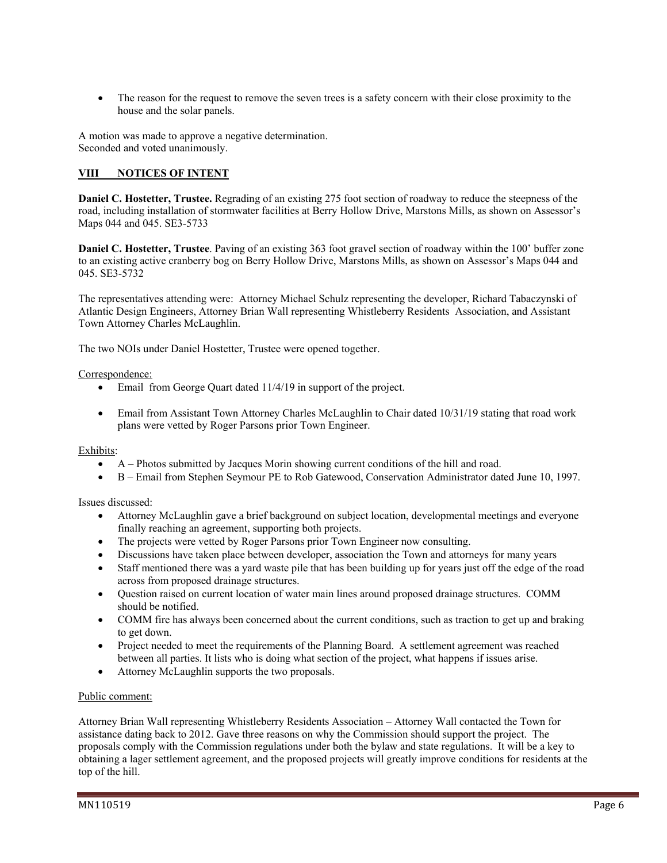• The reason for the request to remove the seven trees is a safety concern with their close proximity to the house and the solar panels.

A motion was made to approve a negative determination. Seconded and voted unanimously.

## **VIII NOTICES OF INTENT**

**Daniel C. Hostetter, Trustee.** Regrading of an existing 275 foot section of roadway to reduce the steepness of the road, including installation of stormwater facilities at Berry Hollow Drive, Marstons Mills, as shown on Assessor's Maps 044 and 045. SE3-5733

**Daniel C. Hostetter, Trustee**. Paving of an existing 363 foot gravel section of roadway within the 100' buffer zone to an existing active cranberry bog on Berry Hollow Drive, Marstons Mills, as shown on Assessor's Maps 044 and 045. SE3-5732

The representatives attending were: Attorney Michael Schulz representing the developer, Richard Tabaczynski of Atlantic Design Engineers, Attorney Brian Wall representing Whistleberry Residents Association, and Assistant Town Attorney Charles McLaughlin.

The two NOIs under Daniel Hostetter, Trustee were opened together.

#### Correspondence:

- Email from George Quart dated 11/4/19 in support of the project.
- Email from Assistant Town Attorney Charles McLaughlin to Chair dated 10/31/19 stating that road work plans were vetted by Roger Parsons prior Town Engineer.

#### Exhibits:

- A Photos submitted by Jacques Morin showing current conditions of the hill and road.
- B Email from Stephen Seymour PE to Rob Gatewood, Conservation Administrator dated June 10, 1997.

#### Issues discussed:

- Attorney McLaughlin gave a brief background on subject location, developmental meetings and everyone finally reaching an agreement, supporting both projects.
- The projects were vetted by Roger Parsons prior Town Engineer now consulting.
- Discussions have taken place between developer, association the Town and attorneys for many years
- Staff mentioned there was a yard waste pile that has been building up for years just off the edge of the road across from proposed drainage structures.
- Question raised on current location of water main lines around proposed drainage structures. COMM should be notified.
- COMM fire has always been concerned about the current conditions, such as traction to get up and braking to get down.
- Project needed to meet the requirements of the Planning Board. A settlement agreement was reached between all parties. It lists who is doing what section of the project, what happens if issues arise.
- Attorney McLaughlin supports the two proposals.

#### Public comment:

Attorney Brian Wall representing Whistleberry Residents Association – Attorney Wall contacted the Town for assistance dating back to 2012. Gave three reasons on why the Commission should support the project. The proposals comply with the Commission regulations under both the bylaw and state regulations. It will be a key to obtaining a lager settlement agreement, and the proposed projects will greatly improve conditions for residents at the top of the hill.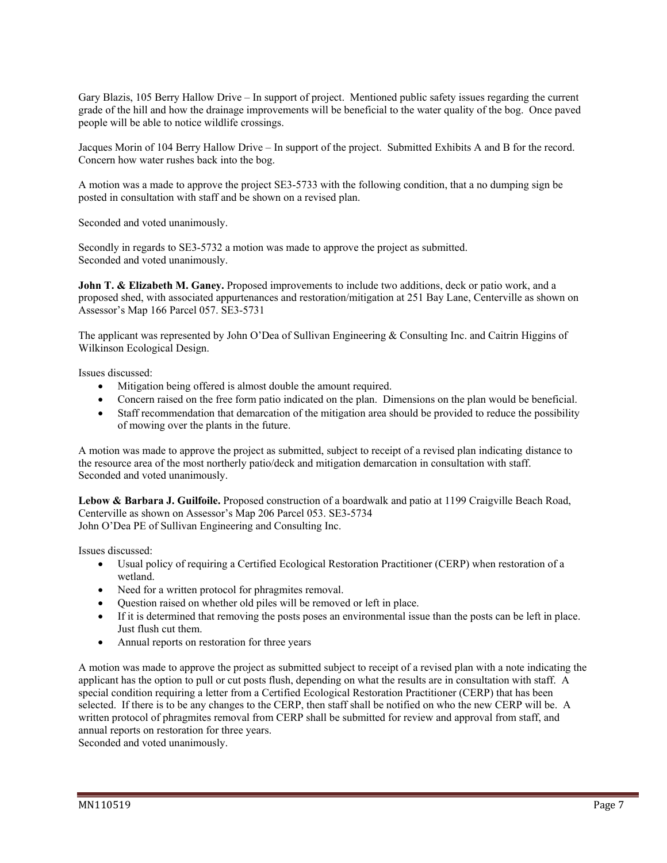Gary Blazis, 105 Berry Hallow Drive – In support of project. Mentioned public safety issues regarding the current grade of the hill and how the drainage improvements will be beneficial to the water quality of the bog. Once paved people will be able to notice wildlife crossings.

Jacques Morin of 104 Berry Hallow Drive – In support of the project. Submitted Exhibits A and B for the record. Concern how water rushes back into the bog.

A motion was a made to approve the project SE3-5733 with the following condition, that a no dumping sign be posted in consultation with staff and be shown on a revised plan.

Seconded and voted unanimously.

Secondly in regards to SE3-5732 a motion was made to approve the project as submitted. Seconded and voted unanimously.

**John T. & Elizabeth M. Ganey.** Proposed improvements to include two additions, deck or patio work, and a proposed shed, with associated appurtenances and restoration/mitigation at 251 Bay Lane, Centerville as shown on Assessor's Map 166 Parcel 057. SE3-5731

The applicant was represented by John O'Dea of Sullivan Engineering & Consulting Inc. and Caitrin Higgins of Wilkinson Ecological Design.

Issues discussed:

- Mitigation being offered is almost double the amount required.
- Concern raised on the free form patio indicated on the plan. Dimensions on the plan would be beneficial.
- Staff recommendation that demarcation of the mitigation area should be provided to reduce the possibility of mowing over the plants in the future.

A motion was made to approve the project as submitted, subject to receipt of a revised plan indicating distance to the resource area of the most northerly patio/deck and mitigation demarcation in consultation with staff. Seconded and voted unanimously.

**Lebow & Barbara J. Guilfoile.** Proposed construction of a boardwalk and patio at 1199 Craigville Beach Road, Centerville as shown on Assessor's Map 206 Parcel 053. SE3-5734 John O'Dea PE of Sullivan Engineering and Consulting Inc.

Issues discussed:

- Usual policy of requiring a Certified Ecological Restoration Practitioner (CERP) when restoration of a wetland.
- Need for a written protocol for phragmites removal.
- Question raised on whether old piles will be removed or left in place.
- If it is determined that removing the posts poses an environmental issue than the posts can be left in place. Just flush cut them.
- Annual reports on restoration for three years

A motion was made to approve the project as submitted subject to receipt of a revised plan with a note indicating the applicant has the option to pull or cut posts flush, depending on what the results are in consultation with staff. A special condition requiring a letter from a Certified Ecological Restoration Practitioner (CERP) that has been selected. If there is to be any changes to the CERP, then staff shall be notified on who the new CERP will be. A written protocol of phragmites removal from CERP shall be submitted for review and approval from staff, and annual reports on restoration for three years.

Seconded and voted unanimously.